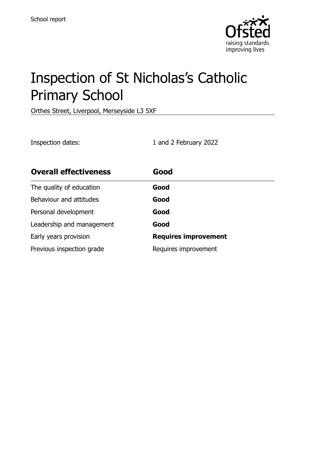

# Inspection of St Nicholas's Catholic Primary School

Orthes Street, Liverpool, Merseyside L3 5XF

Inspection dates: 1 and 2 February 2022

| <b>Overall effectiveness</b> | Good                        |
|------------------------------|-----------------------------|
| The quality of education     | Good                        |
| Behaviour and attitudes      | Good                        |
| Personal development         | Good                        |
| Leadership and management    | Good                        |
| Early years provision        | <b>Requires improvement</b> |
| Previous inspection grade    | Requires improvement        |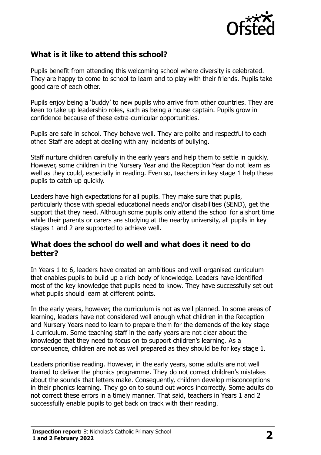

# **What is it like to attend this school?**

Pupils benefit from attending this welcoming school where diversity is celebrated. They are happy to come to school to learn and to play with their friends. Pupils take good care of each other.

Pupils enjoy being a 'buddy' to new pupils who arrive from other countries. They are keen to take up leadership roles, such as being a house captain. Pupils grow in confidence because of these extra-curricular opportunities.

Pupils are safe in school. They behave well. They are polite and respectful to each other. Staff are adept at dealing with any incidents of bullying.

Staff nurture children carefully in the early years and help them to settle in quickly. However, some children in the Nursery Year and the Reception Year do not learn as well as they could, especially in reading. Even so, teachers in key stage 1 help these pupils to catch up quickly.

Leaders have high expectations for all pupils. They make sure that pupils, particularly those with special educational needs and/or disabilities (SEND), get the support that they need. Although some pupils only attend the school for a short time while their parents or carers are studying at the nearby university, all pupils in key stages 1 and 2 are supported to achieve well.

### **What does the school do well and what does it need to do better?**

In Years 1 to 6, leaders have created an ambitious and well-organised curriculum that enables pupils to build up a rich body of knowledge. Leaders have identified most of the key knowledge that pupils need to know. They have successfully set out what pupils should learn at different points.

In the early years, however, the curriculum is not as well planned. In some areas of learning, leaders have not considered well enough what children in the Reception and Nursery Years need to learn to prepare them for the demands of the key stage 1 curriculum. Some teaching staff in the early years are not clear about the knowledge that they need to focus on to support children's learning. As a consequence, children are not as well prepared as they should be for key stage 1.

Leaders prioritise reading. However, in the early years, some adults are not well trained to deliver the phonics programme. They do not correct children's mistakes about the sounds that letters make. Consequently, children develop misconceptions in their phonics learning. They go on to sound out words incorrectly. Some adults do not correct these errors in a timely manner. That said, teachers in Years 1 and 2 successfully enable pupils to get back on track with their reading.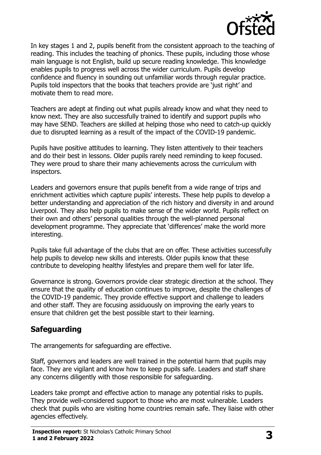

In key stages 1 and 2, pupils benefit from the consistent approach to the teaching of reading. This includes the teaching of phonics. These pupils, including those whose main language is not English, build up secure reading knowledge. This knowledge enables pupils to progress well across the wider curriculum. Pupils develop confidence and fluency in sounding out unfamiliar words through regular practice. Pupils told inspectors that the books that teachers provide are 'just right' and motivate them to read more.

Teachers are adept at finding out what pupils already know and what they need to know next. They are also successfully trained to identify and support pupils who may have SEND. Teachers are skilled at helping those who need to catch-up quickly due to disrupted learning as a result of the impact of the COVID-19 pandemic.

Pupils have positive attitudes to learning. They listen attentively to their teachers and do their best in lessons. Older pupils rarely need reminding to keep focused. They were proud to share their many achievements across the curriculum with inspectors.

Leaders and governors ensure that pupils benefit from a wide range of trips and enrichment activities which capture pupils' interests. These help pupils to develop a better understanding and appreciation of the rich history and diversity in and around Liverpool. They also help pupils to make sense of the wider world. Pupils reflect on their own and others' personal qualities through the well-planned personal development programme. They appreciate that 'differences' make the world more interesting.

Pupils take full advantage of the clubs that are on offer. These activities successfully help pupils to develop new skills and interests. Older pupils know that these contribute to developing healthy lifestyles and prepare them well for later life.

Governance is strong. Governors provide clear strategic direction at the school. They ensure that the quality of education continues to improve, despite the challenges of the COVID-19 pandemic. They provide effective support and challenge to leaders and other staff. They are focusing assiduously on improving the early years to ensure that children get the best possible start to their learning.

# **Safeguarding**

The arrangements for safeguarding are effective.

Staff, governors and leaders are well trained in the potential harm that pupils may face. They are vigilant and know how to keep pupils safe. Leaders and staff share any concerns diligently with those responsible for safeguarding.

Leaders take prompt and effective action to manage any potential risks to pupils. They provide well-considered support to those who are most vulnerable. Leaders check that pupils who are visiting home countries remain safe. They liaise with other agencies effectively.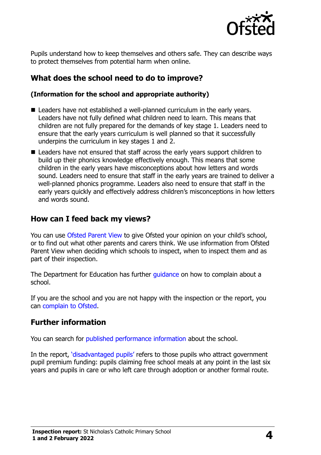

Pupils understand how to keep themselves and others safe. They can describe ways to protect themselves from potential harm when online.

## **What does the school need to do to improve?**

#### **(Information for the school and appropriate authority)**

- Leaders have not established a well-planned curriculum in the early vears. Leaders have not fully defined what children need to learn. This means that children are not fully prepared for the demands of key stage 1. Leaders need to ensure that the early years curriculum is well planned so that it successfully underpins the curriculum in key stages 1 and 2.
- Leaders have not ensured that staff across the early years support children to build up their phonics knowledge effectively enough. This means that some children in the early years have misconceptions about how letters and words sound. Leaders need to ensure that staff in the early years are trained to deliver a well-planned phonics programme. Leaders also need to ensure that staff in the early years quickly and effectively address children's misconceptions in how letters and words sound.

## **How can I feed back my views?**

You can use [Ofsted Parent View](http://parentview.ofsted.gov.uk/) to give Ofsted your opinion on your child's school, or to find out what other parents and carers think. We use information from Ofsted Parent View when deciding which schools to inspect, when to inspect them and as part of their inspection.

The Department for Education has further quidance on how to complain about a school.

If you are the school and you are not happy with the inspection or the report, you can [complain to Ofsted.](http://www.gov.uk/complain-ofsted-report)

#### **Further information**

You can search for [published performance information](http://www.compare-school-performance.service.gov.uk/) about the school.

In the report, '[disadvantaged pupils](http://www.gov.uk/guidance/pupil-premium-information-for-schools-and-alternative-provision-settings)' refers to those pupils who attract government pupil premium funding: pupils claiming free school meals at any point in the last six years and pupils in care or who left care through adoption or another formal route.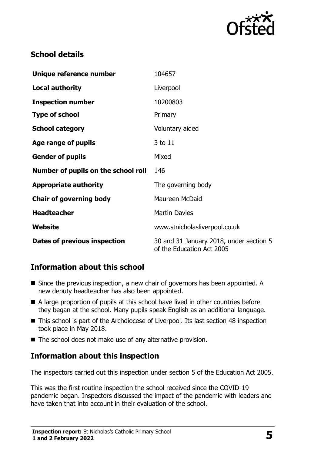

# **School details**

| Unique reference number             | 104657                                                               |
|-------------------------------------|----------------------------------------------------------------------|
| <b>Local authority</b>              | Liverpool                                                            |
| <b>Inspection number</b>            | 10200803                                                             |
| <b>Type of school</b>               | Primary                                                              |
| <b>School category</b>              | Voluntary aided                                                      |
| Age range of pupils                 | 3 to 11                                                              |
| <b>Gender of pupils</b>             | Mixed                                                                |
| Number of pupils on the school roll | 146                                                                  |
| <b>Appropriate authority</b>        | The governing body                                                   |
| <b>Chair of governing body</b>      | Maureen McDaid                                                       |
| <b>Headteacher</b>                  | <b>Martin Davies</b>                                                 |
| <b>Website</b>                      | www.stnicholasliverpool.co.uk                                        |
| Dates of previous inspection        | 30 and 31 January 2018, under section 5<br>of the Education Act 2005 |

# **Information about this school**

- Since the previous inspection, a new chair of governors has been appointed. A new deputy headteacher has also been appointed.
- A large proportion of pupils at this school have lived in other countries before they began at the school. Many pupils speak English as an additional language.
- This school is part of the Archdiocese of Liverpool. Its last section 48 inspection took place in May 2018.
- The school does not make use of any alternative provision.

# **Information about this inspection**

The inspectors carried out this inspection under section 5 of the Education Act 2005.

This was the first routine inspection the school received since the COVID-19 pandemic began. Inspectors discussed the impact of the pandemic with leaders and have taken that into account in their evaluation of the school.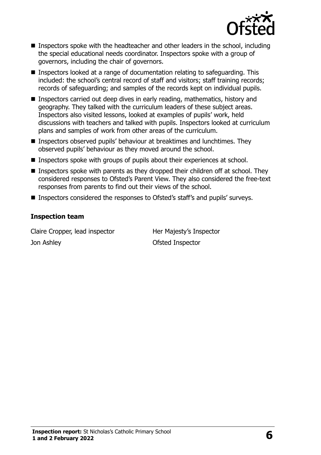

- Inspectors spoke with the headteacher and other leaders in the school, including the special educational needs coordinator. Inspectors spoke with a group of governors, including the chair of governors.
- Inspectors looked at a range of documentation relating to safeguarding. This included: the school's central record of staff and visitors; staff training records; records of safeguarding; and samples of the records kept on individual pupils.
- Inspectors carried out deep dives in early reading, mathematics, history and geography. They talked with the curriculum leaders of these subject areas. Inspectors also visited lessons, looked at examples of pupils' work, held discussions with teachers and talked with pupils. Inspectors looked at curriculum plans and samples of work from other areas of the curriculum.
- Inspectors observed pupils' behaviour at breaktimes and lunchtimes. They observed pupils' behaviour as they moved around the school.
- Inspectors spoke with groups of pupils about their experiences at school.
- **Inspectors spoke with parents as they dropped their children off at school. They** considered responses to Ofsted's Parent View. They also considered the free-text responses from parents to find out their views of the school.
- Inspectors considered the responses to Ofsted's staff's and pupils' surveys.

#### **Inspection team**

Claire Cropper, lead inspector Her Majesty's Inspector **Jon Ashley Contract Contract Ashley Contract Contract Ashley Contract Ofsted Inspector**